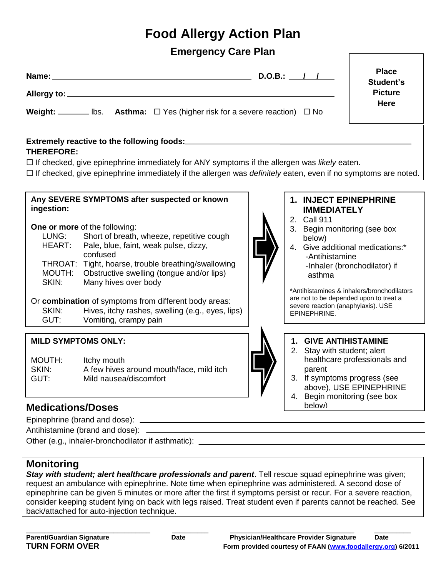# **Food Allergy Action Plan**

## **Emergency Care Plan**

|                                                                                                                                                                                                                                                                                          | <b>Weight:</b> _________ lbs. <b>Asthma:</b> $\Box$ Yes (higher risk for a severe reaction) $\Box$ No                                                                                                                                                                                                                                                                                                                                             |  | $D.O.B.:$ / /                                                                                                                                                                                                                                                        | <b>Place</b><br>Student's<br><b>Picture</b><br>Here                        |  |
|------------------------------------------------------------------------------------------------------------------------------------------------------------------------------------------------------------------------------------------------------------------------------------------|---------------------------------------------------------------------------------------------------------------------------------------------------------------------------------------------------------------------------------------------------------------------------------------------------------------------------------------------------------------------------------------------------------------------------------------------------|--|----------------------------------------------------------------------------------------------------------------------------------------------------------------------------------------------------------------------------------------------------------------------|----------------------------------------------------------------------------|--|
| Extremely reactive to the following foods:<br><b>THEREFORE:</b><br>$\Box$ If checked, give epinephrine immediately for ANY symptoms if the allergen was likely eaten.<br>□ If checked, give epinephrine immediately if the allergen was definitely eaten, even if no symptoms are noted. |                                                                                                                                                                                                                                                                                                                                                                                                                                                   |  |                                                                                                                                                                                                                                                                      |                                                                            |  |
| ingestion:<br>LUNG:<br>HEART:<br>MOUTH:<br>SKIN:<br>SKIN:<br>GUT:                                                                                                                                                                                                                        | Any SEVERE SYMPTOMS after suspected or known<br>One or more of the following:<br>Short of breath, wheeze, repetitive cough<br>Pale, blue, faint, weak pulse, dizzy,<br>confused<br>THROAT: Tight, hoarse, trouble breathing/swallowing<br>Obstructive swelling (tongue and/or lips)<br>Many hives over body<br>Or combination of symptoms from different body areas:<br>Hives, itchy rashes, swelling (e.g., eyes, lips)<br>Vomiting, crampy pain |  | 1. INJECT EPINEPHRINE<br><b>IMMEDIATELY</b><br>2. Call 911<br>3. Begin monitoring (see box<br>below)<br>4. Give additional medications:*<br>-Antihistamine<br>asthma<br>are not to be depended upon to treat a<br>severe reaction (anaphylaxis). USE<br>EPINEPHRINE. | -Inhaler (bronchodilator) if<br>*Antihistamines & inhalers/bronchodilators |  |
| <b>MILD SYMPTOMS ONLY:</b><br>MOUTH:<br>SKIN:<br>GUT:                                                                                                                                                                                                                                    | Itchy mouth<br>A few hives around mouth/face, mild itch<br>Mild nausea/discomfort                                                                                                                                                                                                                                                                                                                                                                 |  | 1. GIVE ANTIHISTAMINE<br>2. Stay with student; alert<br>parent<br>3. If symptoms progress (see                                                                                                                                                                       | healthcare professionals and<br>above), USE EPINEPHRINE                    |  |

#### 4. Begin monitoring (see box below)

### **Medications/Doses**

Epinephrine (brand and dose):

Antihistamine (brand and dose):

Other (e.g., inhaler-bronchodilator if asthmatic):

### **Monitoring**

*Stay with student; alert healthcare professionals and parent*. Tell rescue squad epinephrine was given; request an ambulance with epinephrine. Note time when epinephrine was administered. A second dose of epinephrine can be given 5 minutes or more after the first if symptoms persist or recur. For a severe reaction, consider keeping student lying on back with legs raised. Treat student even if parents cannot be reached. See back/attached for auto-injection technique.